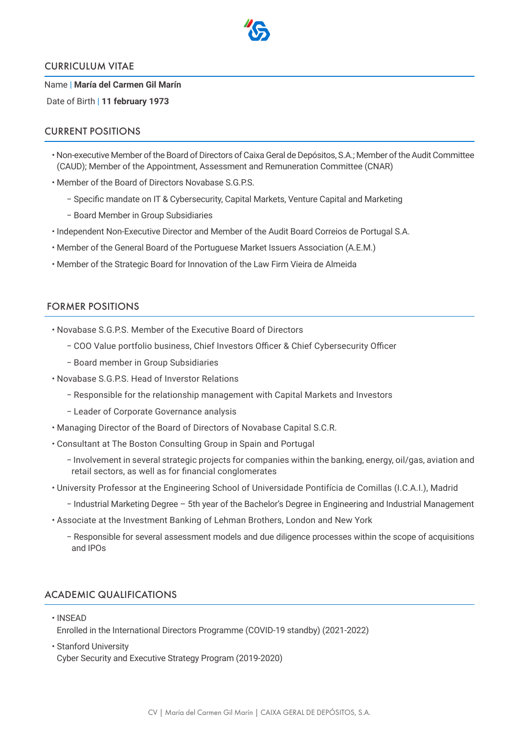

#### CURRICULUM VITAE

Name | **María del Carmen Gil Marín**

Date of Birth | **11 february 1973**

### CURRENT POSITIONS

- Non-executive Member of the Board of Directors of Caixa Geral de Depósitos, S.A.; Member of the Audit Committee (CAUD); Member of the Appointment, Assessment and Remuneration Committee (CNAR)
- Member of the Board of Directors Novabase S.G.P.S.
	- − Specific mandate on IT & Cybersecurity, Capital Markets, Venture Capital and Marketing
	- − Board Member in Group Subsidiaries
- Independent Non-Executive Director and Member of the Audit Board Correios de Portugal S.A.
- Member of the General Board of the Portuguese Market Issuers Association (A.E.M.)
- Member of the Strategic Board for Innovation of the Law Firm Vieira de Almeida

#### FORMER POSITIONS

- Novabase S.G.P.S. Member of the Executive Board of Directors
	- − COO Value portfolio business, Chief Investors Officer & Chief Cybersecurity Officer
	- − Board member in Group Subsidiaries
- Novabase S.G.P.S. Head of Inverstor Relations
	- − Responsible for the relationship management with Capital Markets and Investors
	- − Leader of Corporate Governance analysis
- Managing Director of the Board of Directors of Novabase Capital S.C.R.
- Consultant at The Boston Consulting Group in Spain and Portugal
	- − Involvement in several strategic projects for companies within the banking, energy, oil/gas, aviation and retail sectors, as well as for financial conglomerates
- University Professor at the Engineering School of Universidade Pontifícia de Comillas (I.C.A.I.), Madrid
	- − Industrial Marketing Degree 5th year of the Bachelor's Degree in Engineering and Industrial Management
- Associate at the Investment Banking of Lehman Brothers, London and New York
	- − Responsible for several assessment models and due diligence processes within the scope of acquisitions and IPOs

## ACADEMIC QUALIFICATIONS

• INSEAD

Enrolled in the International Directors Programme (COVID-19 standby) (2021-2022)

• Stanford University Cyber Security and Executive Strategy Program (2019-2020)